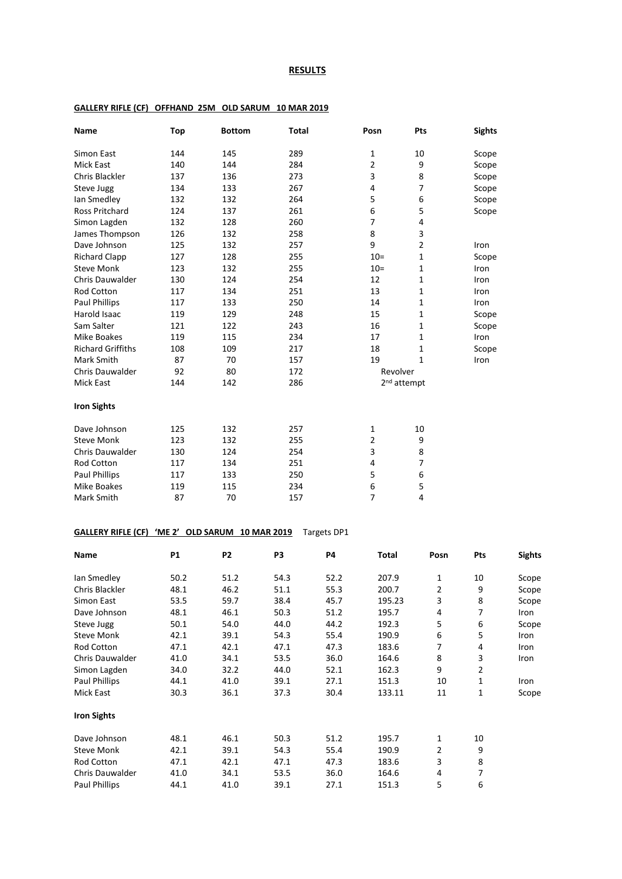#### **RESULTS**

### **Name Top Bottom Total Posn Pts Sights** Simon East 144 145 289 1 10 Scope Mick East 140 144 284 2 9 Scope Chris Blackler 137 136 273 3 8 Scope<br>
Steve Jugg 134 133 267 4 7 Scope Steve Jugg 134 133 267 4 7 Scope Ian Smedley 132 132 264 5 6 Scope Ross Pritchard 124 137 261 6 5 Scope Simon Lagden 132 128 260 7 4 James Thompson 126 132 258 8 3 Dave Johnson 125 132 257 9 2 Iron<br>Richard Clapp 127 128 255 10= 1 Scop Richard Clapp 127 128 255 10= 1 Scope<br>
Steve Monk 123 132 255 10= 1 Iron Steve Monk 123 132 255 10= 1 Iron<br>
Chris Dauwalder 130 124 254 12 1 Iron Philar Chris Dauwalder 130 124 254 12 12 1 Iron 120 121 12 1 Iron 124 251 12 12 1 Iron 120 12 Rod Cotton 117 134 251 13 13 1 Iron Paul Phillips 117 133 250 14 1 Iron<br>119 129 248 15 1 Scop Harold Isaac 119 129 248 15 1 Scope Sam Salter 121 122 243 16 1 Scope Mike Boakes 119 115 234 17 1 17 1 Iron Richard Griffiths 108 109 217 18 1 Scope Mark Smith 87 70 157 19 1 Iron Chris Dauwalder  $92$  80 172 Revolver Mick East 144 142 286 2<sup>nd</sup> attempt **Iron Sights** Pave Johnson 125 132 257 1 10<br>
Steve Monk 123 132 255 2 9 Steve Monk 123 132 255 2 9<br>Chris Dauwalder 130 124 254 3 8 Philosophy Chris Dauwalder 130 124 254 3 8<br>Rod Cotton 117 134 251 4 7 Rod Cotton Paul Phillips 117 133 250 5 6 Mike Boakes 119 115 234 6 5 Mark Smith 87 70 157 7 4

#### **GALLERY RIFLE (CF) OFFHAND 25M OLD SARUM 10 MAR 2019**

### **GALLERY RIFLE (CF) 'ME 2' OLD SARUM 10 MAR 2019** Targets DP1

| Name                   | P <sub>1</sub> | P <sub>2</sub> | P3   | <b>P4</b> | Total  | Posn | Pts | <b>Sights</b> |
|------------------------|----------------|----------------|------|-----------|--------|------|-----|---------------|
| lan Smedley            | 50.2           | 51.2           | 54.3 | 52.2      | 207.9  | 1    | 10  | Scope         |
| Chris Blackler         | 48.1           | 46.2           | 51.1 | 55.3      | 200.7  | 2    | 9   | Scope         |
| Simon East             | 53.5           | 59.7           | 38.4 | 45.7      | 195.23 | 3    | 8   | Scope         |
| Dave Johnson           | 48.1           | 46.1           | 50.3 | 51.2      | 195.7  | 4    | 7   | Iron          |
| Steve Jugg             | 50.1           | 54.0           | 44.0 | 44.2      | 192.3  | 5    | 6   | Scope         |
| <b>Steve Monk</b>      | 42.1           | 39.1           | 54.3 | 55.4      | 190.9  | 6    | 5   | Iron          |
| Rod Cotton             | 47.1           | 42.1           | 47.1 | 47.3      | 183.6  | 7    | 4   | Iron          |
| <b>Chris Dauwalder</b> | 41.0           | 34.1           | 53.5 | 36.0      | 164.6  | 8    | 3   | Iron          |
| Simon Lagden           | 34.0           | 32.2           | 44.0 | 52.1      | 162.3  | 9    | 2   |               |
| Paul Phillips          | 44.1           | 41.0           | 39.1 | 27.1      | 151.3  | 10   | 1   | Iron          |
| Mick East              | 30.3           | 36.1           | 37.3 | 30.4      | 133.11 | 11   | 1   | Scope         |
| <b>Iron Sights</b>     |                |                |      |           |        |      |     |               |
| Dave Johnson           | 48.1           | 46.1           | 50.3 | 51.2      | 195.7  | 1    | 10  |               |
| <b>Steve Monk</b>      | 42.1           | 39.1           | 54.3 | 55.4      | 190.9  | 2    | 9   |               |
| <b>Rod Cotton</b>      | 47.1           | 42.1           | 47.1 | 47.3      | 183.6  | 3    | 8   |               |
| Chris Dauwalder        | 41.0           | 34.1           | 53.5 | 36.0      | 164.6  | 4    | 7   |               |
| <b>Paul Phillips</b>   | 44.1           | 41.0           | 39.1 | 27.1      | 151.3  | 5    | 6   |               |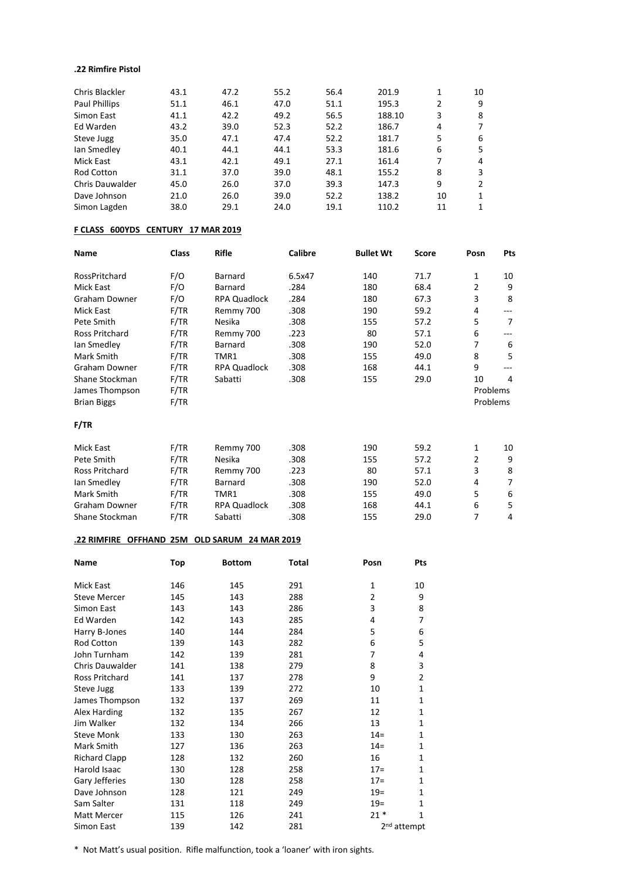### **.22 Rimfire Pistol**

| Chris Blackler         | 43.1 | 47.2 | 55.2 | 56.4 | 201.9  | 1  | 10           |
|------------------------|------|------|------|------|--------|----|--------------|
| Paul Phillips          | 51.1 | 46.1 | 47.0 | 51.1 | 195.3  | 2  | 9            |
| Simon East             | 41.1 | 42.2 | 49.2 | 56.5 | 188.10 | 3  | 8            |
| Ed Warden              | 43.2 | 39.0 | 52.3 | 52.2 | 186.7  | 4  | 7            |
| Steve Jugg             | 35.0 | 47.1 | 47.4 | 52.2 | 181.7  | 5  | 6            |
| lan Smedley            | 40.1 | 44.1 | 44.1 | 53.3 | 181.6  | 6  | 5            |
| Mick East              | 43.1 | 42.1 | 49.1 | 27.1 | 161.4  | 7  | 4            |
| Rod Cotton             | 31.1 | 37.0 | 39.0 | 48.1 | 155.2  | 8  | 3            |
| <b>Chris Dauwalder</b> | 45.0 | 26.0 | 37.0 | 39.3 | 147.3  | 9  | 2            |
| Dave Johnson           | 21.0 | 26.0 | 39.0 | 52.2 | 138.2  | 10 | 1            |
| Simon Lagden           | 38.0 | 29.1 | 24.0 | 19.1 | 110.2  | 11 | $\mathbf{1}$ |
|                        |      |      |      |      |        |    |              |

## **F CLASS 600YDS CENTURY 17 MAR 2019**

| <b>Name</b>           | <b>Class</b> | <b>Rifle</b>        | Calibre | <b>Bullet Wt</b> | <b>Score</b> | Posn           | <b>Pts</b>     |
|-----------------------|--------------|---------------------|---------|------------------|--------------|----------------|----------------|
| RossPritchard         | F/O          | <b>Barnard</b>      | 6.5x47  | 140              | 71.7         | 1              | 10             |
| <b>Mick East</b>      | F/O          | <b>Barnard</b>      | .284    | 180              | 68.4         | 2              | 9              |
| Graham Downer         | F/O          | <b>RPA Quadlock</b> | .284    | 180              | 67.3         | 3              | 8              |
| Mick East             | F/TR         | Remmy 700           | .308    | 190              | 59.2         | 4              | ---            |
| Pete Smith            | F/TR         | Nesika              | .308    | 155              | 57.2         | 5              | $\overline{7}$ |
| <b>Ross Pritchard</b> | F/TR         | Remmy 700           | .223    | 80               | 57.1         | 6              | ---            |
| lan Smedley           | F/TR         | <b>Barnard</b>      | .308    | 190              | 52.0         | 7              | 6              |
| Mark Smith            | F/TR         | TMR1                | .308    | 155              | 49.0         | 8              | 5              |
| Graham Downer         | F/TR         | <b>RPA Quadlock</b> | .308    | 168              | 44.1         | 9              |                |
| Shane Stockman        | F/TR         | Sabatti             | .308    | 155              | 29.0         | 10             | 4              |
| James Thompson        | F/TR         |                     |         |                  |              | Problems       |                |
| <b>Brian Biggs</b>    | F/TR         |                     |         |                  |              | Problems       |                |
| F/TR                  |              |                     |         |                  |              |                |                |
| <b>Mick East</b>      | F/TR         | Remmy 700           | .308    | 190              | 59.2         | 1              | 10             |
| Pete Smith            | F/TR         | Nesika              | .308    | 155              | 57.2         | $\overline{2}$ | 9              |
| <b>Ross Pritchard</b> | F/TR         | Remmy 700           | .223    | 80               | 57.1         | 3              | 8              |
| lan Smedley           | F/TR         | Barnard             | .308    | 190              | 52.0         | 4              | 7              |
| Mark Smith            | F/TR         | TMR1                | .308    | 155              | 49.0         | 5              | 6              |
| Graham Downer         | F/TR         | <b>RPA Quadlock</b> | .308    | 168              | 44.1         | 6              | 5              |
| Shane Stockman        | F/TR         | Sabatti             | .308    | 155              | 29.0         | 7              | 4              |

## **.22 RIMFIRE OFFHAND 25M OLD SARUM 24 MAR 2019**

| Name                 | Top | <b>Bottom</b> | Total | Posn         | Pts                     |
|----------------------|-----|---------------|-------|--------------|-------------------------|
| Mick East            | 146 | 145           | 291   | $\mathbf{1}$ | 10                      |
| <b>Steve Mercer</b>  | 145 | 143           | 288   | 2            | 9                       |
| Simon East           | 143 | 143           | 286   | 3            | 8                       |
| Ed Warden            | 142 | 143           | 285   | 4            | 7                       |
| Harry B-Jones        | 140 | 144           | 284   | 5            | 6                       |
| <b>Rod Cotton</b>    | 139 | 143           | 282   | 6            | 5                       |
| John Turnham         | 142 | 139           | 281   | 7            | 4                       |
| Chris Dauwalder      | 141 | 138           | 279   | 8            | 3                       |
| Ross Pritchard       | 141 | 137           | 278   | 9            | $\overline{2}$          |
| Steve Jugg           | 133 | 139           | 272   | 10           | $\mathbf{1}$            |
| James Thompson       | 132 | 137           | 269   | 11           | $\mathbf{1}$            |
| Alex Harding         | 132 | 135           | 267   | 12           | $\mathbf{1}$            |
| Jim Walker           | 132 | 134           | 266   | 13           | $\mathbf{1}$            |
| <b>Steve Monk</b>    | 133 | 130           | 263   | $14 =$       | $\mathbf{1}$            |
| Mark Smith           | 127 | 136           | 263   | $14 =$       | $\mathbf 1$             |
| <b>Richard Clapp</b> | 128 | 132           | 260   | 16           | $\mathbf{1}$            |
| Harold Isaac         | 130 | 128           | 258   | $17 =$       | $\mathbf{1}$            |
| Gary Jefferies       | 130 | 128           | 258   | $17=$        | $\mathbf{1}$            |
| Dave Johnson         | 128 | 121           | 249   | $19 =$       | $\mathbf{1}$            |
| Sam Salter           | 131 | 118           | 249   | $19 =$       | $\mathbf{1}$            |
| Matt Mercer          | 115 | 126           | 241   | $21*$        | $\mathbf{1}$            |
| Simon East           | 139 | 142           | 281   |              | 2 <sup>nd</sup> attempt |

\* Not Matt's usual position. Rifle malfunction, took a 'loaner' with iron sights.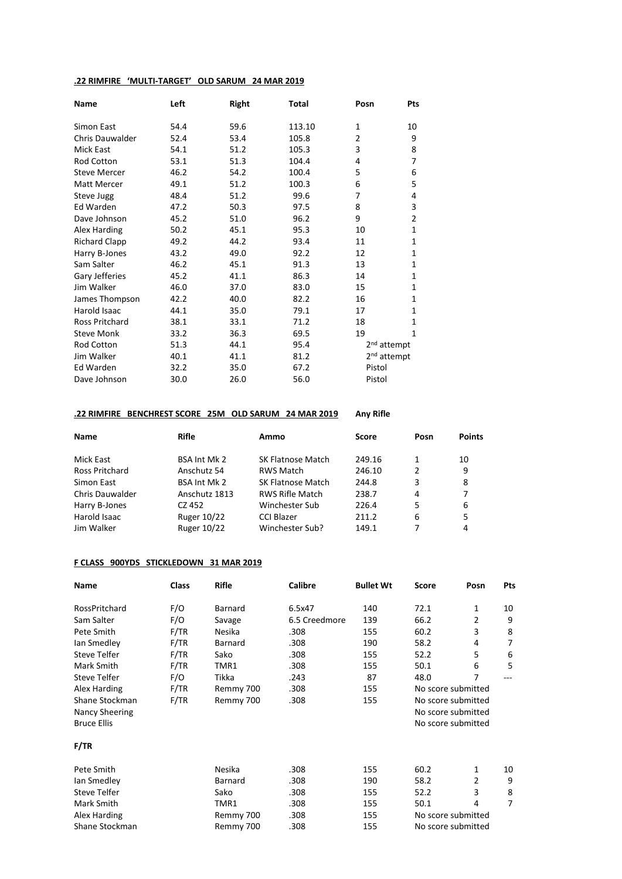## **.22 RIMFIRE 'MULTI-TARGET' OLD SARUM 24 MAR 2019**

| <b>Name</b>            | Left | Right | <b>Total</b> | Posn                    | Pts            |
|------------------------|------|-------|--------------|-------------------------|----------------|
| Simon East             | 54.4 | 59.6  | 113.10       | $\mathbf{1}$            | 10             |
| <b>Chris Dauwalder</b> | 52.4 | 53.4  | 105.8        | 2                       | 9              |
| <b>Mick East</b>       | 54.1 | 51.2  | 105.3        | 3                       | 8              |
| <b>Rod Cotton</b>      | 53.1 | 51.3  | 104.4        | 4                       | 7              |
| <b>Steve Mercer</b>    | 46.2 | 54.2  | 100.4        | 5                       | 6              |
| <b>Matt Mercer</b>     | 49.1 | 51.2  | 100.3        | 6                       | 5              |
| Steve Jugg             | 48.4 | 51.2  | 99.6         | 7                       | 4              |
| Ed Warden              | 47.2 | 50.3  | 97.5         | 8                       | 3              |
| Dave Johnson           | 45.2 | 51.0  | 96.2         | 9                       | $\overline{2}$ |
| Alex Harding           | 50.2 | 45.1  | 95.3         | 10                      | $\mathbf{1}$   |
| <b>Richard Clapp</b>   | 49.2 | 44.2  | 93.4         | 11                      | $\mathbf{1}$   |
| Harry B-Jones          | 43.2 | 49.0  | 92.2         | 12                      | 1              |
| Sam Salter             | 46.2 | 45.1  | 91.3         | 13                      | $\mathbf{1}$   |
| Gary Jefferies         | 45.2 | 41.1  | 86.3         | 14                      | $\mathbf{1}$   |
| Jim Walker             | 46.0 | 37.0  | 83.0         | 15                      | $\mathbf{1}$   |
| James Thompson         | 42.2 | 40.0  | 82.2         | 16                      | 1              |
| Harold Isaac           | 44.1 | 35.0  | 79.1         | 17                      | 1              |
| Ross Pritchard         | 38.1 | 33.1  | 71.2         | 18                      | 1              |
| <b>Steve Monk</b>      | 33.2 | 36.3  | 69.5         | 19                      | $\mathbf{1}$   |
| Rod Cotton             | 51.3 | 44.1  | 95.4         | 2 <sup>nd</sup> attempt |                |
| Jim Walker             | 40.1 | 41.1  | 81.2         | 2 <sup>nd</sup> attempt |                |
| Ed Warden              | 32.2 | 35.0  | 67.2         | Pistol                  |                |
| Dave Johnson           | 30.0 | 26.0  | 56.0         | Pistol                  |                |

### **.22 RIMFIRE BENCHREST SCORE 25M OLD SARUM 24 MAR 2019 Any Rifle**

| <b>Name</b>            | <b>Rifle</b>        | Ammo                   | <b>Score</b> | Posn | <b>Points</b> |
|------------------------|---------------------|------------------------|--------------|------|---------------|
| Mick East              | <b>BSA Int Mk 2</b> | SK Flatnose Match      | 249.16       |      | 10            |
| Ross Pritchard         | Anschutz 54         | <b>RWS Match</b>       | 246.10       | 2    | 9             |
| Simon East             | <b>BSA Int Mk 2</b> | SK Flatnose Match      | 244.8        | 3    | 8             |
| <b>Chris Dauwalder</b> | Anschutz 1813       | <b>RWS Rifle Match</b> | 238.7        | 4    | 7             |
| Harry B-Jones          | CZ 452              | Winchester Sub         | 226.4        | 5    | 6             |
| Harold Isaac           | Ruger 10/22         | <b>CCI Blazer</b>      | 211.2        | 6    | 5             |
| Jim Walker             | Ruger 10/22         | Winchester Sub?        | 149.1        |      | 4             |

### **F CLASS 900YDS STICKLEDOWN 31 MAR 2019**

| <b>Name</b>         | <b>Class</b> | <b>Rifle</b> | <b>Calibre</b> | <b>Bullet Wt</b> | <b>Score</b>       | Posn               | Pts |
|---------------------|--------------|--------------|----------------|------------------|--------------------|--------------------|-----|
| RossPritchard       | F/O          | Barnard      | 6.5x47         | 140              | 72.1               | 1                  | 10  |
| Sam Salter          | F/O          | Savage       | 6.5 Creedmore  | 139              | 66.2               | 2                  | 9   |
| Pete Smith          | F/TR         | Nesika       | .308           | 155              | 60.2               | 3                  | 8   |
| lan Smedley         | F/TR         | Barnard      | .308           | 190              | 58.2               | 4                  | 7   |
| <b>Steve Telfer</b> | F/TR         | Sako         | .308           | 155              | 52.2               | 5                  | 6   |
| Mark Smith          | F/TR         | TMR1         | .308           | 155              | 50.1               | 6                  | 5   |
| Steve Telfer        | F/O          | Tikka        | .243           | 87               | 48.0               | 7                  |     |
| Alex Harding        | F/TR         | Remmy 700    | .308           | 155              |                    | No score submitted |     |
| Shane Stockman      | F/TR         | Remmy 700    | .308           | 155              | No score submitted |                    |     |
| Nancy Sheering      |              |              |                |                  |                    | No score submitted |     |
| <b>Bruce Ellis</b>  |              |              |                |                  |                    | No score submitted |     |
| F/TR                |              |              |                |                  |                    |                    |     |
| Pete Smith          |              | Nesika       | .308           | 155              | 60.2               | 1                  | 10  |
| lan Smedley         |              | Barnard      | .308           | 190              | 58.2               | 2                  | 9   |
| Steve Telfer        |              | Sako         | .308           | 155              | 52.2               | 3                  | 8   |
| Mark Smith          |              | TMR1         | .308           | 155              | 50.1               | 4                  | 7   |
| Alex Harding        |              | Remmy 700    | .308           | 155              |                    | No score submitted |     |
| Shane Stockman      |              | Remmy 700    | .308           | 155              |                    | No score submitted |     |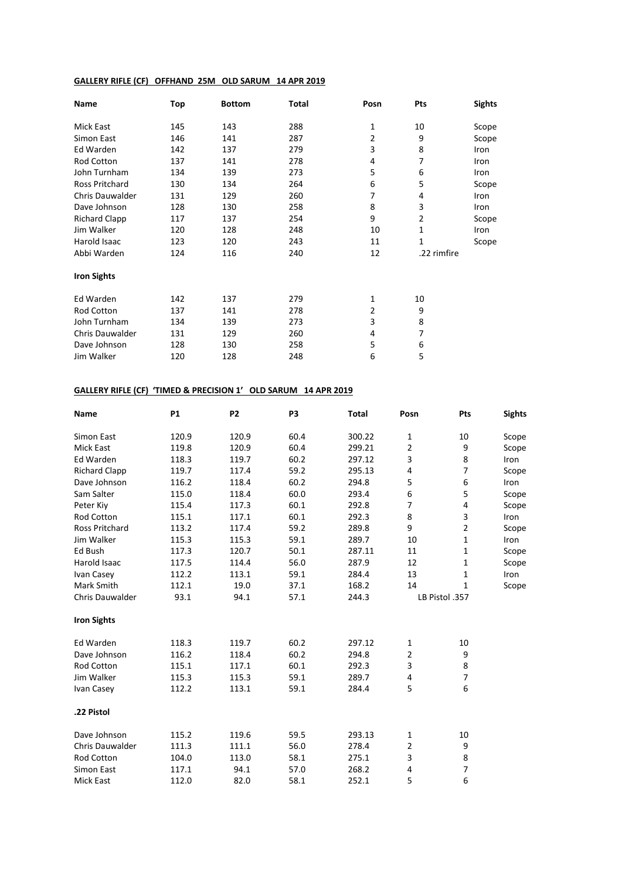# **GALLERY RIFLE (CF) OFFHAND 25M OLD SARUM 14 APR 2019**

| Name                   | Top | <b>Bottom</b> | Total | Posn | Pts            | <b>Sights</b> |
|------------------------|-----|---------------|-------|------|----------------|---------------|
| Mick East              | 145 | 143           | 288   | 1    | 10             | Scope         |
| Simon East             | 146 | 141           | 287   | 2    | 9              | Scope         |
| Ed Warden              | 142 | 137           | 279   | 3    | 8              | Iron          |
| Rod Cotton             | 137 | 141           | 278   | 4    | 7              | Iron          |
| John Turnham           | 134 | 139           | 273   | 5    | 6              | Iron          |
| <b>Ross Pritchard</b>  | 130 | 134           | 264   | 6    | 5              | Scope         |
| <b>Chris Dauwalder</b> | 131 | 129           | 260   | 7    | 4              | Iron          |
| Dave Johnson           | 128 | 130           | 258   | 8    | 3              | Iron          |
| <b>Richard Clapp</b>   | 117 | 137           | 254   | 9    | $\overline{2}$ | Scope         |
| Jim Walker             | 120 | 128           | 248   | 10   | $\mathbf{1}$   | Iron          |
| Harold Isaac           | 123 | 120           | 243   | 11   | $\mathbf{1}$   | Scope         |
| Abbi Warden            | 124 | 116           | 240   | 12   | .22 rimfire    |               |
| <b>Iron Sights</b>     |     |               |       |      |                |               |
| Ed Warden              | 142 | 137           | 279   | 1    | 10             |               |
| Rod Cotton             | 137 | 141           | 278   | 2    | 9              |               |
| John Turnham           | 134 | 139           | 273   | 3    | 8              |               |
| Chris Dauwalder        | 131 | 129           | 260   | 4    | 7              |               |
| Dave Johnson           | 128 | 130           | 258   | 5    | 6              |               |
| Jim Walker             | 120 | 128           | 248   | 6    | 5              |               |

# **GALLERY RIFLE (CF) 'TIMED & PRECISION 1' OLD SARUM 14 APR 2019**

| Name                   | <b>P1</b> | P <sub>2</sub> | P3   | <b>Total</b> | Posn           | Pts            | <b>Sights</b> |
|------------------------|-----------|----------------|------|--------------|----------------|----------------|---------------|
| Simon East             | 120.9     | 120.9          | 60.4 | 300.22       | $\mathbf{1}$   | 10             | Scope         |
| <b>Mick East</b>       | 119.8     | 120.9          | 60.4 | 299.21       | $\overline{2}$ | 9              | Scope         |
| Ed Warden              | 118.3     | 119.7          | 60.2 | 297.12       | 3              | 8              | Iron          |
| <b>Richard Clapp</b>   | 119.7     | 117.4          | 59.2 | 295.13       | 4              | 7              | Scope         |
| Dave Johnson           | 116.2     | 118.4          | 60.2 | 294.8        | 5              | 6              | Iron          |
| Sam Salter             | 115.0     | 118.4          | 60.0 | 293.4        | 6              | 5              | Scope         |
| Peter Kiy              | 115.4     | 117.3          | 60.1 | 292.8        | $\overline{7}$ | 4              | Scope         |
| Rod Cotton             | 115.1     | 117.1          | 60.1 | 292.3        | 8              | 3              | Iron          |
| <b>Ross Pritchard</b>  | 113.2     | 117.4          | 59.2 | 289.8        | 9              | $\overline{2}$ | Scope         |
| Jim Walker             | 115.3     | 115.3          | 59.1 | 289.7        | 10             | 1              | Iron          |
| Ed Bush                | 117.3     | 120.7          | 50.1 | 287.11       | 11             | 1              | Scope         |
| <b>Harold Isaac</b>    | 117.5     | 114.4          | 56.0 | 287.9        | 12             | 1              | Scope         |
| Ivan Casey             | 112.2     | 113.1          | 59.1 | 284.4        | 13             | 1              | Iron          |
| Mark Smith             | 112.1     | 19.0           | 37.1 | 168.2        | 14             | 1              | Scope         |
| <b>Chris Dauwalder</b> | 93.1      | 94.1           | 57.1 | 244.3        |                | LB Pistol .357 |               |
| <b>Iron Sights</b>     |           |                |      |              |                |                |               |
| Ed Warden              | 118.3     | 119.7          | 60.2 | 297.12       | $\mathbf 1$    | 10             |               |
| Dave Johnson           | 116.2     | 118.4          | 60.2 | 294.8        | $\overline{2}$ | 9              |               |
| <b>Rod Cotton</b>      | 115.1     | 117.1          | 60.1 | 292.3        | 3              | 8              |               |
| Jim Walker             | 115.3     | 115.3          | 59.1 | 289.7        | 4              | $\overline{7}$ |               |
| Ivan Casey             | 112.2     | 113.1          | 59.1 | 284.4        | 5              | 6              |               |
| .22 Pistol             |           |                |      |              |                |                |               |
| Dave Johnson           | 115.2     | 119.6          | 59.5 | 293.13       | $\mathbf{1}$   | 10             |               |
| <b>Chris Dauwalder</b> | 111.3     | 111.1          | 56.0 | 278.4        | $\overline{2}$ | 9              |               |
| Rod Cotton             | 104.0     | 113.0          | 58.1 | 275.1        | 3              | 8              |               |
| Simon East             | 117.1     | 94.1           | 57.0 | 268.2        | 4              | 7              |               |
| <b>Mick East</b>       | 112.0     | 82.0           | 58.1 | 252.1        | 5              | 6              |               |